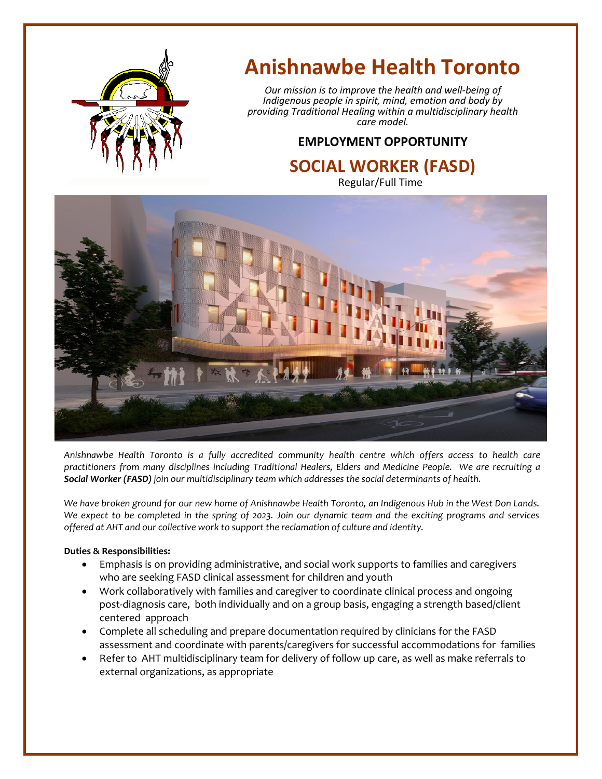

# **Anishnawbe Health Toronto**

*Our mission is to improve the health and well-being of Indigenous people in spirit, mind, emotion and body by providing Traditional Healing within a multidisciplinary health care model.*

## **EMPLOYMENT OPPORTUNITY**

### **SOCIAL WORKER (FASD)** Regular/Full Time



*Anishnawbe Health Toronto is a fully accredited community health centre which offers access to health care practitioners from many disciplines including Traditional Healers, Elders and Medicine People. We are recruiting a Social Worker (FASD) join our multidisciplinary team which addresses the social determinants of health.*

*We have broken ground for our new home of Anishnawbe Health Toronto, an Indigenous Hub in the West Don Lands. We expect to be completed in the spring of 2023. Join our dynamic team and the exciting programs and services offered at AHT and our collective work to support the reclamation of culture and identity.*

#### **Duties & Responsibilities:**

- Emphasis is on providing administrative, and social work supports to families and caregivers who are seeking FASD clinical assessment for children and youth
- Work collaboratively with families and caregiver to coordinate clinical process and ongoing post-diagnosis care, both individually and on a group basis, engaging a strength based/client centered approach
- Complete all scheduling and prepare documentation required by clinicians for the FASD assessment and coordinate with parents/caregivers for successful accommodations for families
- Refer to AHT multidisciplinary team for delivery of follow up care, as well as make referrals to external organizations, as appropriate